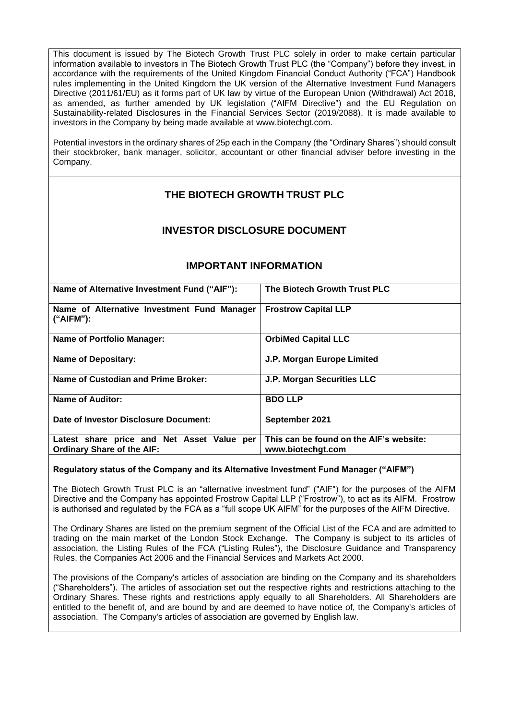This document is issued by The Biotech Growth Trust PLC solely in order to make certain particular information available to investors in The Biotech Growth Trust PLC (the "Company") before they invest, in accordance with the requirements of the United Kingdom Financial Conduct Authority ("FCA") Handbook rules implementing in the United Kingdom the UK version of the Alternative Investment Fund Managers Directive (2011/61/EU) as it forms part of UK law by virtue of the European Union (Withdrawal) Act 2018, as amended, as further amended by UK legislation ("AIFM Directive") and the EU Regulation on Sustainability-related Disclosures in the Financial Services Sector (2019/2088). It is made available to investors in the Company by being made available at [www.biotechgt.com.](http://www.biotechgt.com/)

Potential investors in the ordinary shares of 25p each in the Company (the "Ordinary Shares") should consult their stockbroker, bank manager, solicitor, accountant or other financial adviser before investing in the Company.

# **THE BIOTECH GROWTH TRUST PLC**

# **INVESTOR DISCLOSURE DOCUMENT**

| Name of Alternative Investment Fund ("AIF"):                                    | The Biotech Growth Trust PLC                                 |
|---------------------------------------------------------------------------------|--------------------------------------------------------------|
| Name of Alternative Investment Fund Manager<br>$("AIFM")$ :                     | <b>Frostrow Capital LLP</b>                                  |
| <b>Name of Portfolio Manager:</b>                                               | <b>OrbiMed Capital LLC</b>                                   |
| <b>Name of Depositary:</b>                                                      | J.P. Morgan Europe Limited                                   |
| Name of Custodian and Prime Broker:                                             | <b>J.P. Morgan Securities LLC</b>                            |
| <b>Name of Auditor:</b>                                                         | <b>BDO LLP</b>                                               |
| Date of Investor Disclosure Document:                                           | September 2021                                               |
| Latest share price and Net Asset Value per<br><b>Ordinary Share of the AIF:</b> | This can be found on the AIF's website:<br>www.biotechgt.com |

# **IMPORTANT INFORMATION**

# **Regulatory status of the Company and its Alternative Investment Fund Manager ("AIFM")**

The Biotech Growth Trust PLC is an "alternative investment fund" ("AIF") for the purposes of the AIFM Directive and the Company has appointed Frostrow Capital LLP ("Frostrow"), to act as its AIFM. Frostrow is authorised and regulated by the FCA as a "full scope UK AIFM" for the purposes of the AIFM Directive.

The Ordinary Shares are listed on the premium segment of the Official List of the FCA and are admitted to trading on the main market of the London Stock Exchange. The Company is subject to its articles of association, the Listing Rules of the FCA ("Listing Rules"), the Disclosure Guidance and Transparency Rules, the Companies Act 2006 and the Financial Services and Markets Act 2000.

The provisions of the Company's articles of association are binding on the Company and its shareholders ("Shareholders"). The articles of association set out the respective rights and restrictions attaching to the Ordinary Shares. These rights and restrictions apply equally to all Shareholders. All Shareholders are entitled to the benefit of, and are bound by and are deemed to have notice of, the Company's articles of association. The Company's articles of association are governed by English law.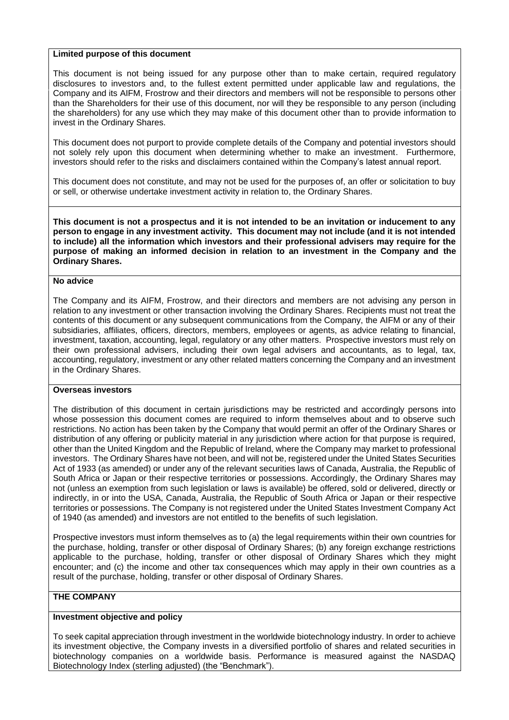### **Limited purpose of this document**

This document is not being issued for any purpose other than to make certain, required regulatory disclosures to investors and, to the fullest extent permitted under applicable law and regulations, the Company and its AIFM, Frostrow and their directors and members will not be responsible to persons other than the Shareholders for their use of this document, nor will they be responsible to any person (including the shareholders) for any use which they may make of this document other than to provide information to invest in the Ordinary Shares.

This document does not purport to provide complete details of the Company and potential investors should not solely rely upon this document when determining whether to make an investment. Furthermore, investors should refer to the risks and disclaimers contained within the Company's latest annual report.

This document does not constitute, and may not be used for the purposes of, an offer or solicitation to buy or sell, or otherwise undertake investment activity in relation to, the Ordinary Shares.

**This document is not a prospectus and it is not intended to be an invitation or inducement to any person to engage in any investment activity. This document may not include (and it is not intended to include) all the information which investors and their professional advisers may require for the purpose of making an informed decision in relation to an investment in the Company and the Ordinary Shares.** 

#### **No advice**

The Company and its AIFM, Frostrow, and their directors and members are not advising any person in relation to any investment or other transaction involving the Ordinary Shares. Recipients must not treat the contents of this document or any subsequent communications from the Company, the AIFM or any of their subsidiaries, affiliates, officers, directors, members, employees or agents, as advice relating to financial, investment, taxation, accounting, legal, regulatory or any other matters. Prospective investors must rely on their own professional advisers, including their own legal advisers and accountants, as to legal, tax, accounting, regulatory, investment or any other related matters concerning the Company and an investment in the Ordinary Shares.

## **Overseas investors**

The distribution of this document in certain jurisdictions may be restricted and accordingly persons into whose possession this document comes are required to inform themselves about and to observe such restrictions. No action has been taken by the Company that would permit an offer of the Ordinary Shares or distribution of any offering or publicity material in any jurisdiction where action for that purpose is required, other than the United Kingdom and the Republic of Ireland, where the Company may market to professional investors. The Ordinary Shares have not been, and will not be, registered under the United States Securities Act of 1933 (as amended) or under any of the relevant securities laws of Canada, Australia, the Republic of South Africa or Japan or their respective territories or possessions. Accordingly, the Ordinary Shares may not (unless an exemption from such legislation or laws is available) be offered, sold or delivered, directly or indirectly, in or into the USA, Canada, Australia, the Republic of South Africa or Japan or their respective territories or possessions. The Company is not registered under the United States Investment Company Act of 1940 (as amended) and investors are not entitled to the benefits of such legislation.

Prospective investors must inform themselves as to (a) the legal requirements within their own countries for the purchase, holding, transfer or other disposal of Ordinary Shares; (b) any foreign exchange restrictions applicable to the purchase, holding, transfer or other disposal of Ordinary Shares which they might encounter; and (c) the income and other tax consequences which may apply in their own countries as a result of the purchase, holding, transfer or other disposal of Ordinary Shares.

## **THE COMPANY**

## **Investment objective and policy**

To seek capital appreciation through investment in the worldwide biotechnology industry. In order to achieve its investment objective, the Company invests in a diversified portfolio of shares and related securities in biotechnology companies on a worldwide basis. Performance is measured against the NASDAQ Biotechnology Index (sterling adjusted) (the "Benchmark").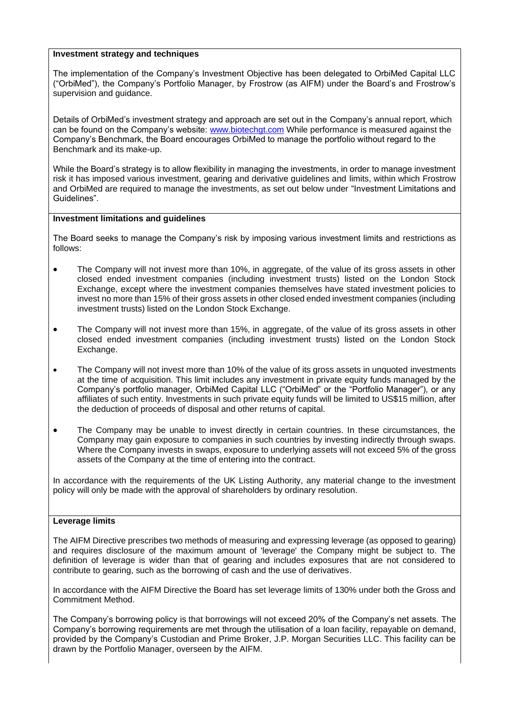### **Investment strategy and techniques**

The implementation of the Company's Investment Objective has been delegated to OrbiMed Capital LLC ("OrbiMed"), the Company's Portfolio Manager, by Frostrow (as AIFM) under the Board's and Frostrow's supervision and guidance.

Details of OrbiMed's investment strategy and approach are set out in the Company's annual report, which can be found on the Company's website: [www.biotechgt.com](http://www.biotechgt.com/) While performance is measured against the Company's Benchmark, the Board encourages OrbiMed to manage the portfolio without regard to the Benchmark and its make-up.

While the Board's strategy is to allow flexibility in managing the investments, in order to manage investment risk it has imposed various investment, gearing and derivative guidelines and limits, within which Frostrow and OrbiMed are required to manage the investments, as set out below under "Investment Limitations and Guidelines".

#### **Investment limitations and guidelines**

The Board seeks to manage the Company's risk by imposing various investment limits and restrictions as follows:

- The Company will not invest more than 10%, in aggregate, of the value of its gross assets in other closed ended investment companies (including investment trusts) listed on the London Stock Exchange, except where the investment companies themselves have stated investment policies to invest no more than 15% of their gross assets in other closed ended investment companies (including investment trusts) listed on the London Stock Exchange.
- The Company will not invest more than 15%, in aggregate, of the value of its gross assets in other closed ended investment companies (including investment trusts) listed on the London Stock Exchange.
- The Company will not invest more than 10% of the value of its gross assets in unquoted investments at the time of acquisition. This limit includes any investment in private equity funds managed by the Company's portfolio manager, OrbiMed Capital LLC ("OrbiMed" or the "Portfolio Manager"), or any affiliates of such entity. Investments in such private equity funds will be limited to US\$15 million, after the deduction of proceeds of disposal and other returns of capital.
- The Company may be unable to invest directly in certain countries. In these circumstances, the Company may gain exposure to companies in such countries by investing indirectly through swaps. Where the Company invests in swaps, exposure to underlying assets will not exceed 5% of the gross assets of the Company at the time of entering into the contract.

In accordance with the requirements of the UK Listing Authority, any material change to the investment policy will only be made with the approval of shareholders by ordinary resolution.

#### **Leverage limits**

The AIFM Directive prescribes two methods of measuring and expressing leverage (as opposed to gearing) and requires disclosure of the maximum amount of 'leverage' the Company might be subject to. The definition of leverage is wider than that of gearing and includes exposures that are not considered to contribute to gearing, such as the borrowing of cash and the use of derivatives.

In accordance with the AIFM Directive the Board has set leverage limits of 130% under both the Gross and Commitment Method.

The Company's borrowing policy is that borrowings will not exceed 20% of the Company's net assets. The Company's borrowing requirements are met through the utilisation of a loan facility, repayable on demand, provided by the Company's Custodian and Prime Broker, J.P. Morgan Securities LLC. This facility can be drawn by the Portfolio Manager, overseen by the AIFM.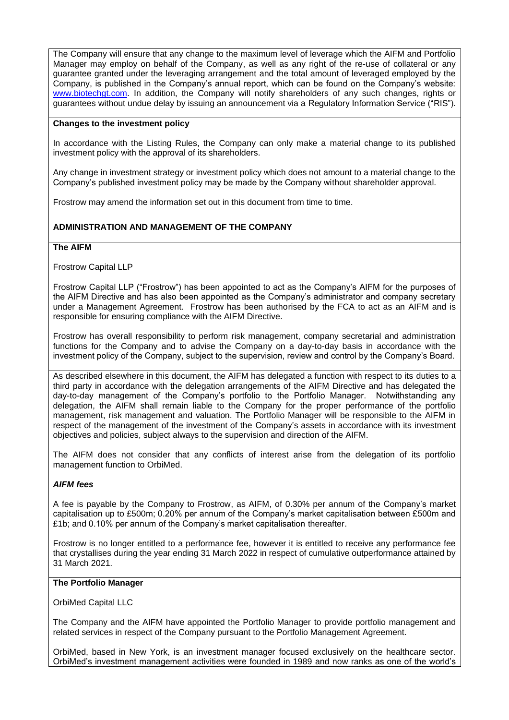The Company will ensure that any change to the maximum level of leverage which the AIFM and Portfolio Manager may employ on behalf of the Company, as well as any right of the re-use of collateral or any guarantee granted under the leveraging arrangement and the total amount of leveraged employed by the Company, is published in the Company's annual report, which can be found on the Company's website: [www.biotechgt.com.](http://www.biotechgt.com/) In addition, the Company will notify shareholders of any such changes, rights or guarantees without undue delay by issuing an announcement via a Regulatory Information Service ("RIS").

### **Changes to the investment policy**

In accordance with the Listing Rules, the Company can only make a material change to its published investment policy with the approval of its shareholders.

Any change in investment strategy or investment policy which does not amount to a material change to the Company's published investment policy may be made by the Company without shareholder approval.

Frostrow may amend the information set out in this document from time to time.

# **ADMINISTRATION AND MANAGEMENT OF THE COMPANY**

### **The AIFM**

Frostrow Capital LLP

Frostrow Capital LLP ("Frostrow") has been appointed to act as the Company's AIFM for the purposes of the AIFM Directive and has also been appointed as the Company's administrator and company secretary under a Management Agreement. Frostrow has been authorised by the FCA to act as an AIFM and is responsible for ensuring compliance with the AIFM Directive.

Frostrow has overall responsibility to perform risk management, company secretarial and administration functions for the Company and to advise the Company on a day-to-day basis in accordance with the investment policy of the Company, subject to the supervision, review and control by the Company's Board.

As described elsewhere in this document, the AIFM has delegated a function with respect to its duties to a third party in accordance with the delegation arrangements of the AIFM Directive and has delegated the day-to-day management of the Company's portfolio to the Portfolio Manager. Notwithstanding any delegation, the AIFM shall remain liable to the Company for the proper performance of the portfolio management, risk management and valuation. The Portfolio Manager will be responsible to the AIFM in respect of the management of the investment of the Company's assets in accordance with its investment objectives and policies, subject always to the supervision and direction of the AIFM.

The AIFM does not consider that any conflicts of interest arise from the delegation of its portfolio management function to OrbiMed.

## *AIFM fees*

A fee is payable by the Company to Frostrow, as AIFM, of 0.30% per annum of the Company's market capitalisation up to £500m; 0.20% per annum of the Company's market capitalisation between £500m and £1b; and 0.10% per annum of the Company's market capitalisation thereafter.

Frostrow is no longer entitled to a performance fee, however it is entitled to receive any performance fee that crystallises during the year ending 31 March 2022 in respect of cumulative outperformance attained by 31 March 2021.

#### **The Portfolio Manager**

OrbiMed Capital LLC

The Company and the AIFM have appointed the Portfolio Manager to provide portfolio management and related services in respect of the Company pursuant to the Portfolio Management Agreement.

OrbiMed, based in New York, is an investment manager focused exclusively on the healthcare sector. OrbiMed's investment management activities were founded in 1989 and now ranks as one of the world's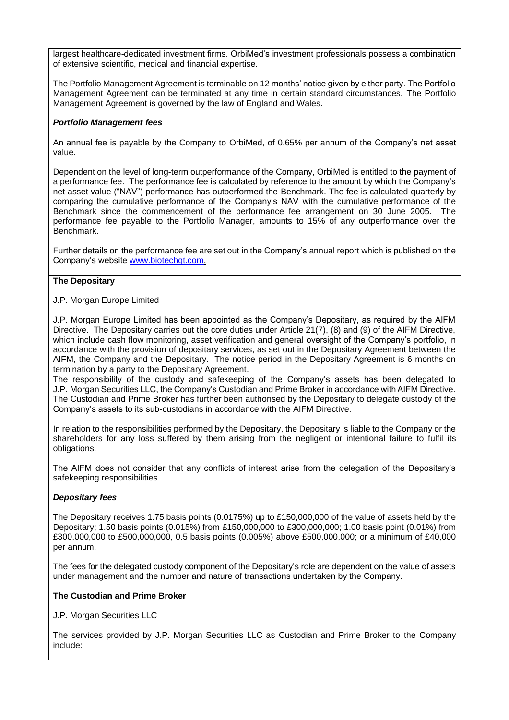largest healthcare-dedicated investment firms. OrbiMed's investment professionals possess a combination of extensive scientific, medical and financial expertise.

The Portfolio Management Agreement is terminable on 12 months' notice given by either party. The Portfolio Management Agreement can be terminated at any time in certain standard circumstances. The Portfolio Management Agreement is governed by the law of England and Wales.

## *Portfolio Management fees*

An annual fee is payable by the Company to OrbiMed, of 0.65% per annum of the Company's net asset value.

Dependent on the level of long-term outperformance of the Company, OrbiMed is entitled to the payment of a performance fee. The performance fee is calculated by reference to the amount by which the Company's net asset value ("NAV") performance has outperformed the Benchmark. The fee is calculated quarterly by comparing the cumulative performance of the Company's NAV with the cumulative performance of the Benchmark since the commencement of the performance fee arrangement on 30 June 2005. The performance fee payable to the Portfolio Manager, amounts to 15% of any outperformance over the Benchmark.

Further details on the performance fee are set out in the Company's annual report which is published on the Company's website [www.biotechgt.com.](http://www.biotechgt.com/)

## **The Depositary**

### J.P. Morgan Europe Limited

J.P. Morgan Europe Limited has been appointed as the Company's Depositary, as required by the AIFM Directive. The Depositary carries out the core duties under Article 21(7), (8) and (9) of the AIFM Directive, which include cash flow monitoring, asset verification and general oversight of the Company's portfolio, in accordance with the provision of depositary services, as set out in the Depositary Agreement between the AIFM, the Company and the Depositary. The notice period in the Depositary Agreement is 6 months on termination by a party to the Depositary Agreement.

The responsibility of the custody and safekeeping of the Company's assets has been delegated to J.P. Morgan Securities LLC, the Company's Custodian and Prime Broker in accordance with AIFM Directive. The Custodian and Prime Broker has further been authorised by the Depositary to delegate custody of the Company's assets to its sub-custodians in accordance with the AIFM Directive.

In relation to the responsibilities performed by the Depositary, the Depositary is liable to the Company or the shareholders for any loss suffered by them arising from the negligent or intentional failure to fulfil its obligations.

The AIFM does not consider that any conflicts of interest arise from the delegation of the Depositary's safekeeping responsibilities.

## *Depositary fees*

The Depositary receives 1.75 basis points (0.0175%) up to £150,000,000 of the value of assets held by the Depositary; 1.50 basis points (0.015%) from £150,000,000 to £300,000,000; 1.00 basis point (0.01%) from £300,000,000 to £500,000,000, 0.5 basis points (0.005%) above £500,000,000; or a minimum of £40,000 per annum.

The fees for the delegated custody component of the Depositary's role are dependent on the value of assets under management and the number and nature of transactions undertaken by the Company.

## **The Custodian and Prime Broker**

J.P. Morgan Securities LLC

The services provided by J.P. Morgan Securities LLC as Custodian and Prime Broker to the Company include: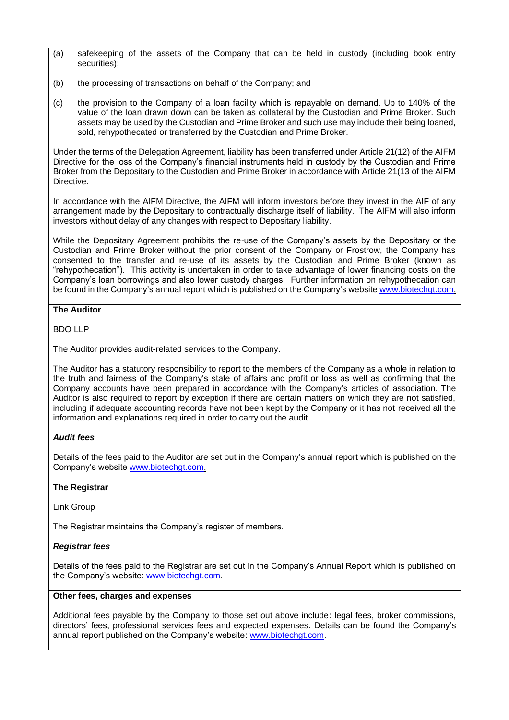- (a) safekeeping of the assets of the Company that can be held in custody (including book entry securities);
- (b) the processing of transactions on behalf of the Company; and
- (c) the provision to the Company of a loan facility which is repayable on demand. Up to 140% of the value of the loan drawn down can be taken as collateral by the Custodian and Prime Broker. Such assets may be used by the Custodian and Prime Broker and such use may include their being loaned, sold, rehypothecated or transferred by the Custodian and Prime Broker.

Under the terms of the Delegation Agreement, liability has been transferred under Article 21(12) of the AIFM Directive for the loss of the Company's financial instruments held in custody by the Custodian and Prime Broker from the Depositary to the Custodian and Prime Broker in accordance with Article 21(13 of the AIFM Directive.

In accordance with the AIFM Directive, the AIFM will inform investors before they invest in the AIF of any arrangement made by the Depositary to contractually discharge itself of liability. The AIFM will also inform investors without delay of any changes with respect to Depositary liability.

While the Depositary Agreement prohibits the re-use of the Company's assets by the Depositary or the Custodian and Prime Broker without the prior consent of the Company or Frostrow, the Company has consented to the transfer and re-use of its assets by the Custodian and Prime Broker (known as "rehypothecation"). This activity is undertaken in order to take advantage of lower financing costs on the Company's loan borrowings and also lower custody charges. Further information on rehypothecation can be found in the Company's annual report which is published on the Company's website [www.biotechgt.com.](http://www.biotechgt.com/)

# **The Auditor**

# BDO LLP

The Auditor provides audit-related services to the Company.

The Auditor has a statutory responsibility to report to the members of the Company as a whole in relation to the truth and fairness of the Company's state of affairs and profit or loss as well as confirming that the Company accounts have been prepared in accordance with the Company's articles of association. The Auditor is also required to report by exception if there are certain matters on which they are not satisfied, including if adequate accounting records have not been kept by the Company or it has not received all the information and explanations required in order to carry out the audit.

# *Audit fees*

Details of the fees paid to the Auditor are set out in the Company's annual report which is published on the Company's website [www.biotechgt.com.](http://www.biotechgt.com/)

## **The Registrar**

Link Group

The Registrar maintains the Company's register of members.

# *Registrar fees*

Details of the fees paid to the Registrar are set out in the Company's Annual Report which is published on the Company's website: [www.biotechgt.com.](http://www.biotechgt.com/)

# **Other fees, charges and expenses**

Additional fees payable by the Company to those set out above include: legal fees, broker commissions, directors' fees, professional services fees and expected expenses. Details can be found the Company's annual report published on the Company's website: [www.biotechgt.com.](http://www.biotechgt.com/)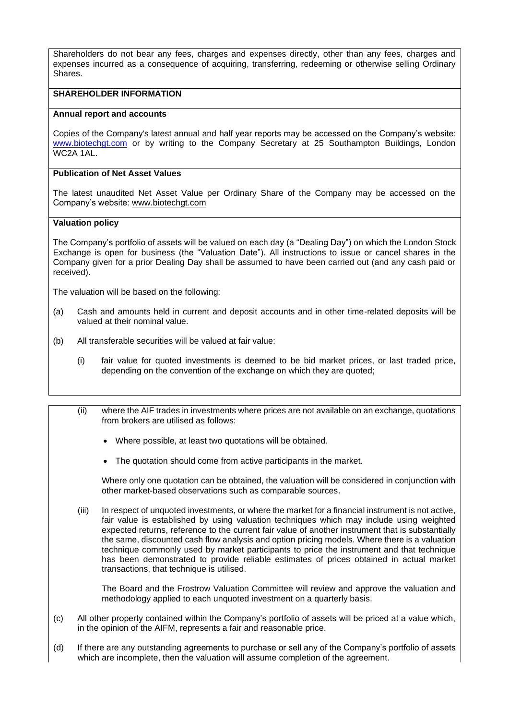Shareholders do not bear any fees, charges and expenses directly, other than any fees, charges and expenses incurred as a consequence of acquiring, transferring, redeeming or otherwise selling Ordinary Shares.

### **SHAREHOLDER INFORMATION**

### **Annual report and accounts**

Copies of the Company's latest annual and half year reports may be accessed on the Company's website: [www.biotechgt.com](http://www.biotechgt.com/) or by writing to the Company Secretary at 25 Southampton Buildings, London WC2A 1AL.

### **Publication of Net Asset Values**

The latest unaudited Net Asset Value per Ordinary Share of the Company may be accessed on the Company's website: www.biotechgt.com

### **Valuation policy**

The Company's portfolio of assets will be valued on each day (a "Dealing Day") on which the London Stock Exchange is open for business (the "Valuation Date"). All instructions to issue or cancel shares in the Company given for a prior Dealing Day shall be assumed to have been carried out (and any cash paid or received).

The valuation will be based on the following:

- (a) Cash and amounts held in current and deposit accounts and in other time-related deposits will be valued at their nominal value.
- (b) All transferable securities will be valued at fair value:
	- (i) fair value for quoted investments is deemed to be bid market prices, or last traded price, depending on the convention of the exchange on which they are quoted;
	- (ii) where the AIF trades in investments where prices are not available on an exchange, quotations from brokers are utilised as follows:
		- Where possible, at least two quotations will be obtained.
		- The quotation should come from active participants in the market.

Where only one quotation can be obtained, the valuation will be considered in conjunction with other market-based observations such as comparable sources.

(iii) In respect of unquoted investments, or where the market for a financial instrument is not active, fair value is established by using valuation techniques which may include using weighted expected returns, reference to the current fair value of another instrument that is substantially the same, discounted cash flow analysis and option pricing models. Where there is a valuation technique commonly used by market participants to price the instrument and that technique has been demonstrated to provide reliable estimates of prices obtained in actual market transactions, that technique is utilised.

The Board and the Frostrow Valuation Committee will review and approve the valuation and methodology applied to each unquoted investment on a quarterly basis.

- (c) All other property contained within the Company's portfolio of assets will be priced at a value which, in the opinion of the AIFM, represents a fair and reasonable price.
- (d) If there are any outstanding agreements to purchase or sell any of the Company's portfolio of assets which are incomplete, then the valuation will assume completion of the agreement.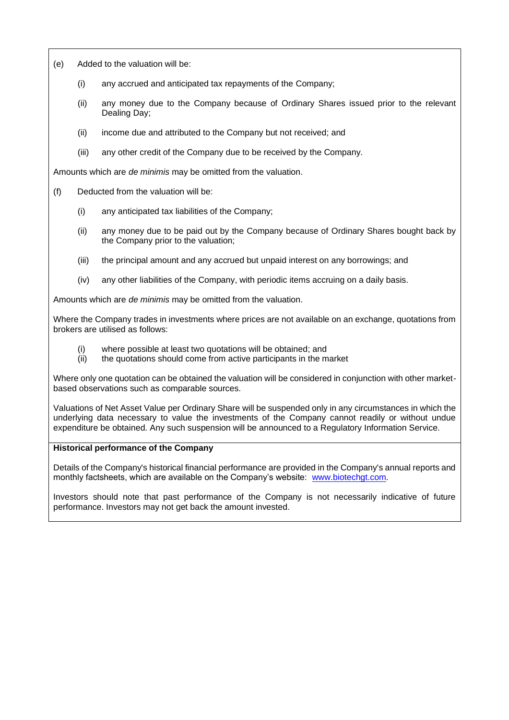- (e) Added to the valuation will be:
	- (i) any accrued and anticipated tax repayments of the Company;
	- (ii) any money due to the Company because of Ordinary Shares issued prior to the relevant Dealing Day;
	- (ii) income due and attributed to the Company but not received; and
	- (iii) any other credit of the Company due to be received by the Company.

Amounts which are *de minimis* may be omitted from the valuation.

- (f) Deducted from the valuation will be:
	- (i) any anticipated tax liabilities of the Company;
	- (ii) any money due to be paid out by the Company because of Ordinary Shares bought back by the Company prior to the valuation;
	- (iii) the principal amount and any accrued but unpaid interest on any borrowings; and
	- (iv) any other liabilities of the Company, with periodic items accruing on a daily basis.

Amounts which are *de minimis* may be omitted from the valuation.

Where the Company trades in investments where prices are not available on an exchange, quotations from brokers are utilised as follows:

- (i) where possible at least two quotations will be obtained; and
- (ii) the quotations should come from active participants in the market

Where only one quotation can be obtained the valuation will be considered in conjunction with other marketbased observations such as comparable sources.

Valuations of Net Asset Value per Ordinary Share will be suspended only in any circumstances in which the underlying data necessary to value the investments of the Company cannot readily or without undue expenditure be obtained. Any such suspension will be announced to a Regulatory Information Service.

### **Historical performance of the Company**

Details of the Company's historical financial performance are provided in the Company's annual reports and monthly factsheets, which are available on the Company's website: [www.biotechgt.com.](http://www.biotechgt.com/)

Investors should note that past performance of the Company is not necessarily indicative of future performance. Investors may not get back the amount invested.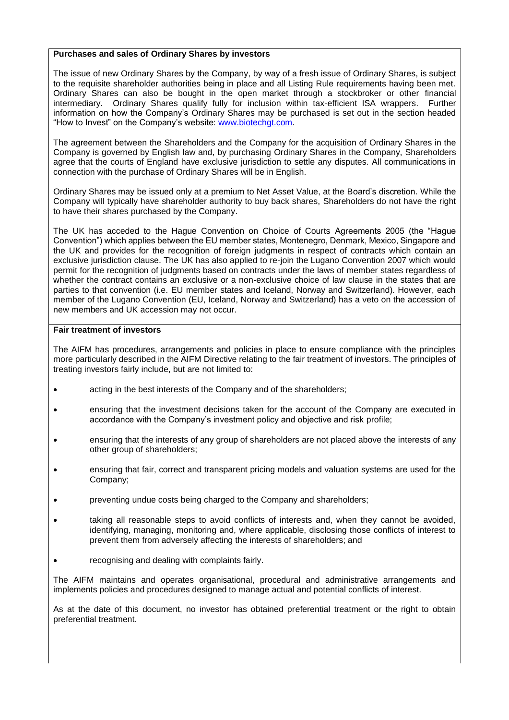### **Purchases and sales of Ordinary Shares by investors**

The issue of new Ordinary Shares by the Company, by way of a fresh issue of Ordinary Shares, is subject to the requisite shareholder authorities being in place and all Listing Rule requirements having been met. Ordinary Shares can also be bought in the open market through a stockbroker or other financial intermediary. Ordinary Shares qualify fully for inclusion within tax-efficient ISA wrappers. Further information on how the Company's Ordinary Shares may be purchased is set out in the section headed "How to Invest" on the Company's website: [www.biotechgt.com.](http://www.biotechgt.com/)

The agreement between the Shareholders and the Company for the acquisition of Ordinary Shares in the Company is governed by English law and, by purchasing Ordinary Shares in the Company, Shareholders agree that the courts of England have exclusive jurisdiction to settle any disputes. All communications in connection with the purchase of Ordinary Shares will be in English.

Ordinary Shares may be issued only at a premium to Net Asset Value, at the Board's discretion. While the Company will typically have shareholder authority to buy back shares, Shareholders do not have the right to have their shares purchased by the Company.

The UK has acceded to the Hague Convention on Choice of Courts Agreements 2005 (the "Hague Convention") which applies between the EU member states, Montenegro, Denmark, Mexico, Singapore and the UK and provides for the recognition of foreign judgments in respect of contracts which contain an exclusive jurisdiction clause. The UK has also applied to re-join the Lugano Convention 2007 which would permit for the recognition of judgments based on contracts under the laws of member states regardless of whether the contract contains an exclusive or a non-exclusive choice of law clause in the states that are parties to that convention (i.e. EU member states and Iceland, Norway and Switzerland). However, each member of the Lugano Convention (EU, Iceland, Norway and Switzerland) has a veto on the accession of new members and UK accession may not occur.

#### **Fair treatment of investors**

The AIFM has procedures, arrangements and policies in place to ensure compliance with the principles more particularly described in the AIFM Directive relating to the fair treatment of investors. The principles of treating investors fairly include, but are not limited to:

- acting in the best interests of the Company and of the shareholders;
- ensuring that the investment decisions taken for the account of the Company are executed in accordance with the Company's investment policy and objective and risk profile;
- ensuring that the interests of any group of shareholders are not placed above the interests of any other group of shareholders;
- ensuring that fair, correct and transparent pricing models and valuation systems are used for the Company;
- preventing undue costs being charged to the Company and shareholders;
- taking all reasonable steps to avoid conflicts of interests and, when they cannot be avoided, identifying, managing, monitoring and, where applicable, disclosing those conflicts of interest to prevent them from adversely affecting the interests of shareholders; and
- recognising and dealing with complaints fairly.

The AIFM maintains and operates organisational, procedural and administrative arrangements and implements policies and procedures designed to manage actual and potential conflicts of interest.

As at the date of this document, no investor has obtained preferential treatment or the right to obtain preferential treatment.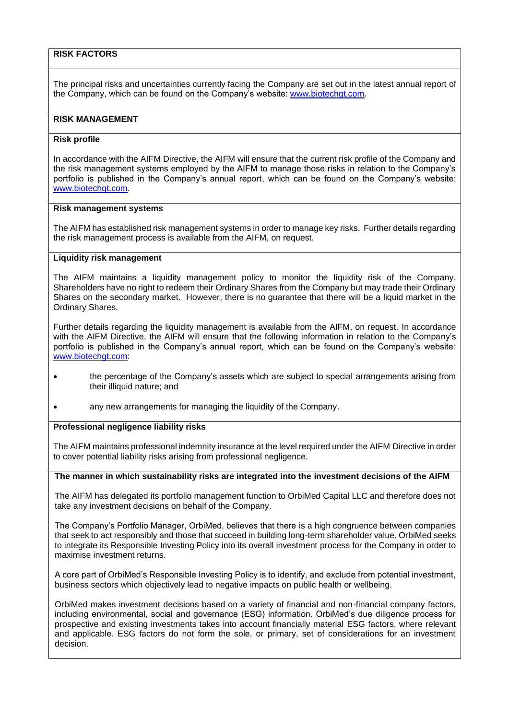# **RISK FACTORS**

The principal risks and uncertainties currently facing the Company are set out in the latest annual report of the Company, which can be found on the Company's website: [www.biotechgt.com.](http://www.biotechgt.com/)

# **RISK MANAGEMENT**

### **Risk profile**

In accordance with the AIFM Directive, the AIFM will ensure that the current risk profile of the Company and the risk management systems employed by the AIFM to manage those risks in relation to the Company's portfolio is published in the Company's annual report, which can be found on the Company's website: [www.biotechgt.com.](http://www.biotechgt.com/)

#### **Risk management systems**

The AIFM has established risk management systems in order to manage key risks. Further details regarding the risk management process is available from the AIFM, on request.

## **Liquidity risk management**

The AIFM maintains a liquidity management policy to monitor the liquidity risk of the Company. Shareholders have no right to redeem their Ordinary Shares from the Company but may trade their Ordinary Shares on the secondary market. However, there is no guarantee that there will be a liquid market in the Ordinary Shares.

Further details regarding the liquidity management is available from the AIFM, on request. In accordance with the AIFM Directive, the AIFM will ensure that the following information in relation to the Company's portfolio is published in the Company's annual report, which can be found on the Company's website: [www.biotechgt.com:](http://www.biotechgt.com/)

- the percentage of the Company's assets which are subject to special arrangements arising from their illiquid nature; and
- any new arrangements for managing the liquidity of the Company.

### **Professional negligence liability risks**

The AIFM maintains professional indemnity insurance at the level required under the AIFM Directive in order to cover potential liability risks arising from professional negligence.

#### **The manner in which sustainability risks are integrated into the investment decisions of the AIFM**

The AIFM has delegated its portfolio management function to OrbiMed Capital LLC and therefore does not take any investment decisions on behalf of the Company.

The Company's Portfolio Manager, OrbiMed, believes that there is a high congruence between companies that seek to act responsibly and those that succeed in building long-term shareholder value. OrbiMed seeks to integrate its Responsible Investing Policy into its overall investment process for the Company in order to maximise investment returns.

A core part of OrbiMed's Responsible Investing Policy is to identify, and exclude from potential investment, business sectors which objectively lead to negative impacts on public health or wellbeing.

OrbiMed makes investment decisions based on a variety of financial and non-financial company factors, including environmental, social and governance (ESG) information. OrbiMed's due diligence process for prospective and existing investments takes into account financially material ESG factors, where relevant and applicable. ESG factors do not form the sole, or primary, set of considerations for an investment decision.